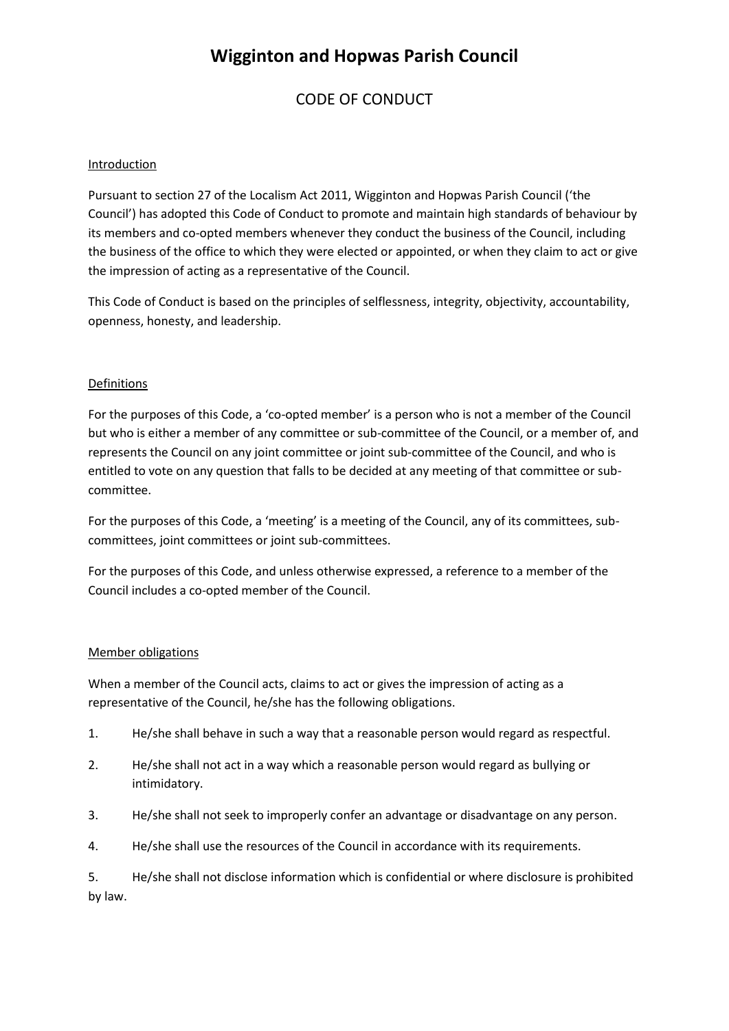### CODE OF CONDUCT

#### Introduction

Pursuant to section 27 of the Localism Act 2011, Wigginton and Hopwas Parish Council ('the Council') has adopted this Code of Conduct to promote and maintain high standards of behaviour by its members and co-opted members whenever they conduct the business of the Council, including the business of the office to which they were elected or appointed, or when they claim to act or give the impression of acting as a representative of the Council.

This Code of Conduct is based on the principles of selflessness, integrity, objectivity, accountability, openness, honesty, and leadership.

#### Definitions

For the purposes of this Code, a 'co-opted member' is a person who is not a member of the Council but who is either a member of any committee or sub-committee of the Council, or a member of, and represents the Council on any joint committee or joint sub-committee of the Council, and who is entitled to vote on any question that falls to be decided at any meeting of that committee or subcommittee.

For the purposes of this Code, a 'meeting' is a meeting of the Council, any of its committees, subcommittees, joint committees or joint sub-committees.

For the purposes of this Code, and unless otherwise expressed, a reference to a member of the Council includes a co-opted member of the Council.

#### Member obligations

When a member of the Council acts, claims to act or gives the impression of acting as a representative of the Council, he/she has the following obligations.

- 1. He/she shall behave in such a way that a reasonable person would regard as respectful.
- 2. He/she shall not act in a way which a reasonable person would regard as bullying or intimidatory.
- 3. He/she shall not seek to improperly confer an advantage or disadvantage on any person.
- 4. He/she shall use the resources of the Council in accordance with its requirements.

5. He/she shall not disclose information which is confidential or where disclosure is prohibited by law.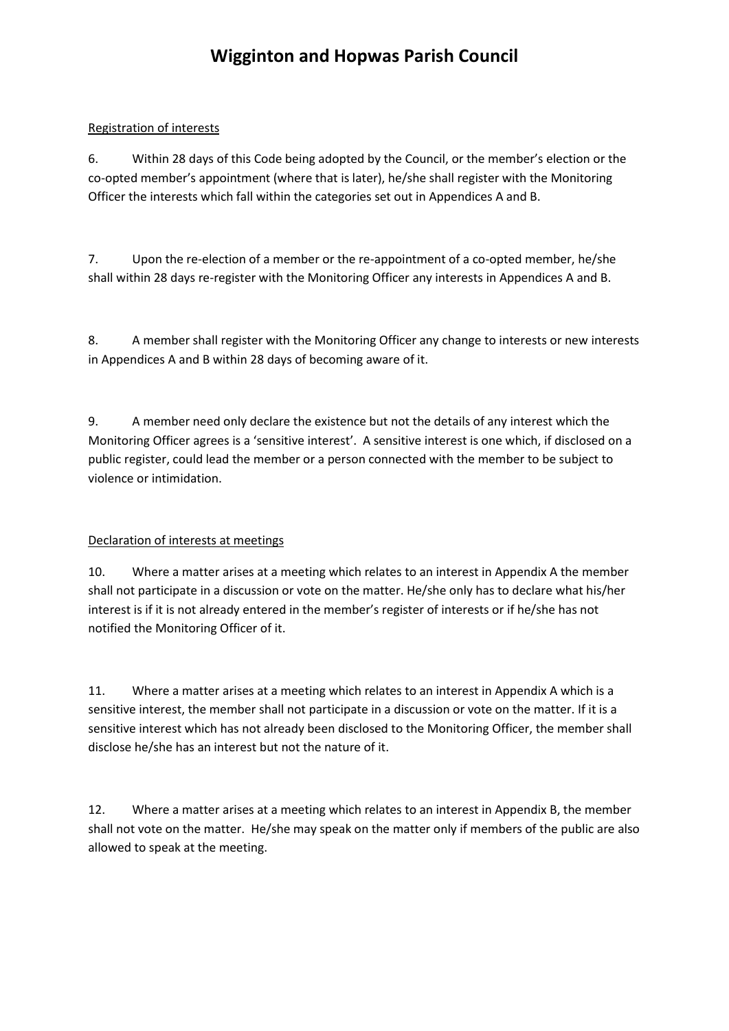### Registration of interests

6. Within 28 days of this Code being adopted by the Council, or the member's election or the co-opted member's appointment (where that is later), he/she shall register with the Monitoring Officer the interests which fall within the categories set out in Appendices A and B.

7. Upon the re-election of a member or the re-appointment of a co-opted member, he/she shall within 28 days re-register with the Monitoring Officer any interests in Appendices A and B.

8. A member shall register with the Monitoring Officer any change to interests or new interests in Appendices A and B within 28 days of becoming aware of it.

9. A member need only declare the existence but not the details of any interest which the Monitoring Officer agrees is a 'sensitive interest'. A sensitive interest is one which, if disclosed on a public register, could lead the member or a person connected with the member to be subject to violence or intimidation.

### Declaration of interests at meetings

10. Where a matter arises at a meeting which relates to an interest in Appendix A the member shall not participate in a discussion or vote on the matter. He/she only has to declare what his/her interest is if it is not already entered in the member's register of interests or if he/she has not notified the Monitoring Officer of it.

11. Where a matter arises at a meeting which relates to an interest in Appendix A which is a sensitive interest, the member shall not participate in a discussion or vote on the matter. If it is a sensitive interest which has not already been disclosed to the Monitoring Officer, the member shall disclose he/she has an interest but not the nature of it.

12. Where a matter arises at a meeting which relates to an interest in Appendix B, the member shall not vote on the matter. He/she may speak on the matter only if members of the public are also allowed to speak at the meeting.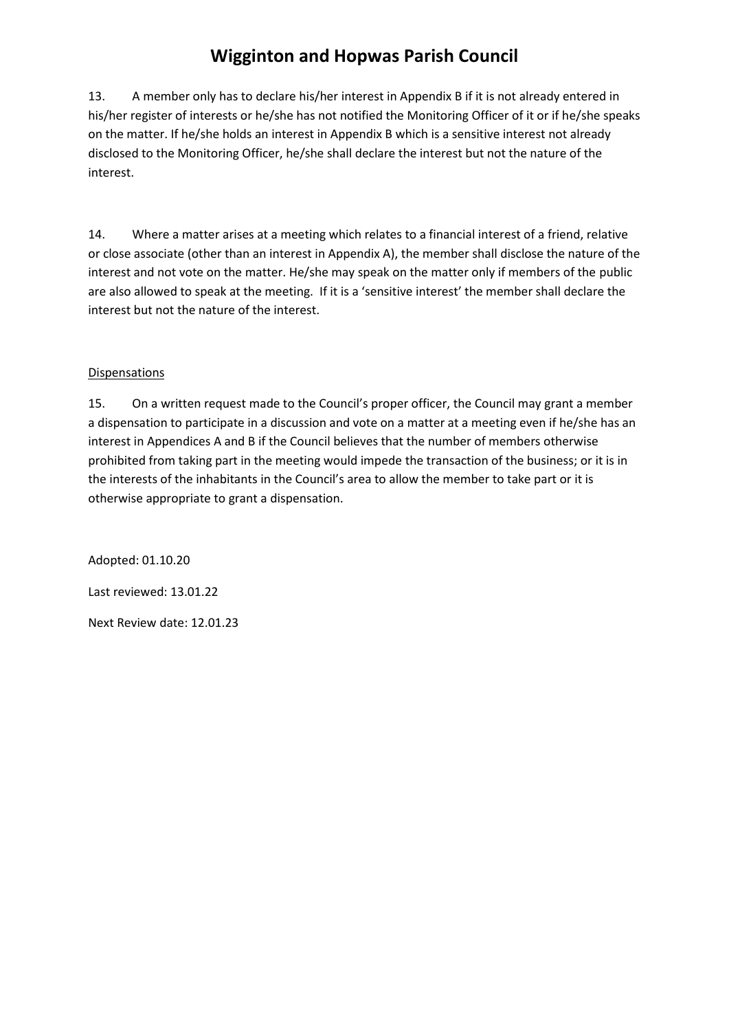13. A member only has to declare his/her interest in Appendix B if it is not already entered in his/her register of interests or he/she has not notified the Monitoring Officer of it or if he/she speaks on the matter. If he/she holds an interest in Appendix B which is a sensitive interest not already disclosed to the Monitoring Officer, he/she shall declare the interest but not the nature of the interest.

14. Where a matter arises at a meeting which relates to a financial interest of a friend, relative or close associate (other than an interest in Appendix A), the member shall disclose the nature of the interest and not vote on the matter. He/she may speak on the matter only if members of the public are also allowed to speak at the meeting. If it is a 'sensitive interest' the member shall declare the interest but not the nature of the interest.

### **Dispensations**

15. On a written request made to the Council's proper officer, the Council may grant a member a dispensation to participate in a discussion and vote on a matter at a meeting even if he/she has an interest in Appendices A and B if the Council believes that the number of members otherwise prohibited from taking part in the meeting would impede the transaction of the business; or it is in the interests of the inhabitants in the Council's area to allow the member to take part or it is otherwise appropriate to grant a dispensation.

Adopted: 01.10.20 Last reviewed: 13.01.22 Next Review date: 12.01.23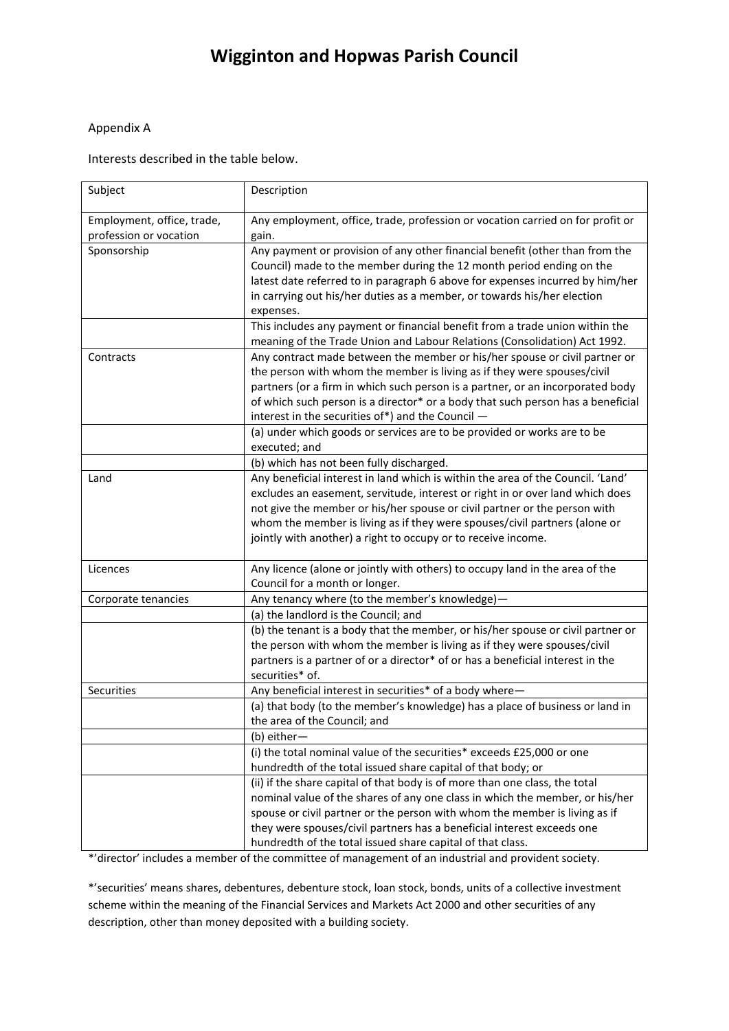#### Appendix A

Interests described in the table below.

| Subject                                              | Description                                                                                                                                                                                                                                                                                                                                                                                  |
|------------------------------------------------------|----------------------------------------------------------------------------------------------------------------------------------------------------------------------------------------------------------------------------------------------------------------------------------------------------------------------------------------------------------------------------------------------|
| Employment, office, trade,<br>profession or vocation | Any employment, office, trade, profession or vocation carried on for profit or<br>gain.                                                                                                                                                                                                                                                                                                      |
| Sponsorship                                          | Any payment or provision of any other financial benefit (other than from the<br>Council) made to the member during the 12 month period ending on the<br>latest date referred to in paragraph 6 above for expenses incurred by him/her<br>in carrying out his/her duties as a member, or towards his/her election<br>expenses.                                                                |
|                                                      | This includes any payment or financial benefit from a trade union within the<br>meaning of the Trade Union and Labour Relations (Consolidation) Act 1992.                                                                                                                                                                                                                                    |
| Contracts                                            | Any contract made between the member or his/her spouse or civil partner or<br>the person with whom the member is living as if they were spouses/civil<br>partners (or a firm in which such person is a partner, or an incorporated body<br>of which such person is a director* or a body that such person has a beneficial<br>interest in the securities of*) and the Council -              |
|                                                      | (a) under which goods or services are to be provided or works are to be<br>executed; and                                                                                                                                                                                                                                                                                                     |
|                                                      | (b) which has not been fully discharged.                                                                                                                                                                                                                                                                                                                                                     |
| Land                                                 | Any beneficial interest in land which is within the area of the Council. 'Land'<br>excludes an easement, servitude, interest or right in or over land which does<br>not give the member or his/her spouse or civil partner or the person with<br>whom the member is living as if they were spouses/civil partners (alone or<br>jointly with another) a right to occupy or to receive income. |
| Licences                                             | Any licence (alone or jointly with others) to occupy land in the area of the<br>Council for a month or longer.                                                                                                                                                                                                                                                                               |
| Corporate tenancies                                  | Any tenancy where (to the member's knowledge)-                                                                                                                                                                                                                                                                                                                                               |
|                                                      | (a) the landlord is the Council; and                                                                                                                                                                                                                                                                                                                                                         |
|                                                      | (b) the tenant is a body that the member, or his/her spouse or civil partner or<br>the person with whom the member is living as if they were spouses/civil<br>partners is a partner of or a director* of or has a beneficial interest in the<br>securities* of.                                                                                                                              |
| Securities                                           | Any beneficial interest in securities* of a body where-                                                                                                                                                                                                                                                                                                                                      |
|                                                      | (a) that body (to the member's knowledge) has a place of business or land in<br>the area of the Council; and                                                                                                                                                                                                                                                                                 |
|                                                      | (b) either—                                                                                                                                                                                                                                                                                                                                                                                  |
|                                                      | (i) the total nominal value of the securities* exceeds £25,000 or one<br>hundredth of the total issued share capital of that body; or                                                                                                                                                                                                                                                        |
|                                                      | (ii) if the share capital of that body is of more than one class, the total<br>nominal value of the shares of any one class in which the member, or his/her<br>spouse or civil partner or the person with whom the member is living as if<br>they were spouses/civil partners has a beneficial interest exceeds one<br>hundredth of the total issued share capital of that class.            |

\*'director' includes a member of the committee of management of an industrial and provident society.

\*'securities' means shares, debentures, debenture stock, loan stock, bonds, units of a collective investment scheme within the meaning of the Financial Services and Markets Act 2000 and other securities of any description, other than money deposited with a building society.